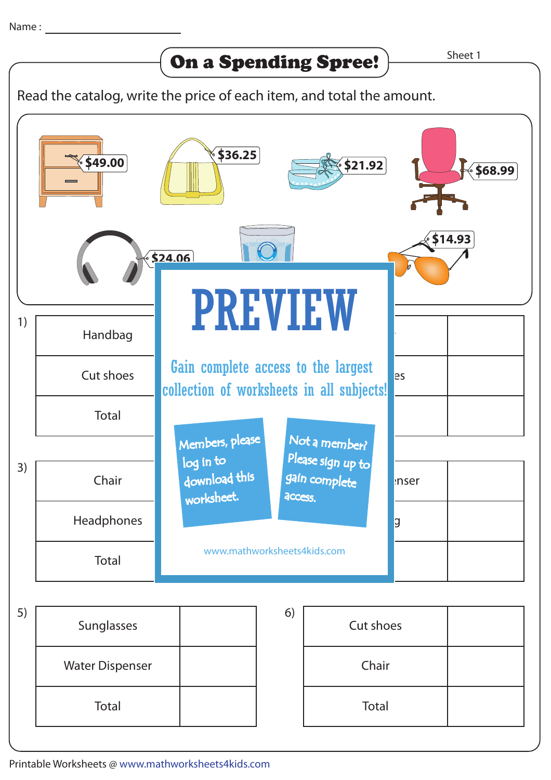

Read the catalog, write the price of each item, and total the amount.



Printable Worksheets @ www.mathworksheets4kids.com